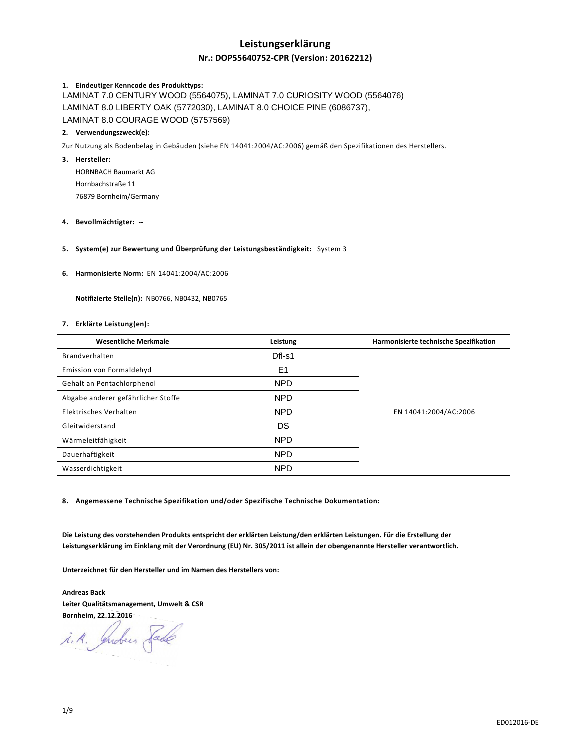# **Leistungserklärung**

# **Nr.: DOP55640752-CPR (Version: 20162212)**

## **1. Eindeutiger Kenncode des Produkttyps:**

LAMINAT 7.0 CENTURY WOOD (5564075), LAMINAT 7.0 CURIOSITY WOOD (5564076) LAMINAT 8.0 LIBERTY OAK (5772030), LAMINAT 8.0 CHOICE PINE (6086737), LAMINAT 8.0 COURAGE WOOD (5757569)

## **2. Verwendungszweck(e):**

Zur Nutzung als Bodenbelag in Gebäuden (siehe EN 14041:2004/AC:2006) gemäß den Spezifikationen des Herstellers.

## **3. Hersteller:**

HORNBACH Baumarkt AG Hornbachstraße 11 76879 Bornheim/Germany

### **4. Bevollmächtigter: --**

**5. System(e) zur Bewertung und Überprüfung der Leistungsbeständigkeit:** System 3

### **6. Harmonisierte Norm:** EN 14041:2004/AC:2006

 **Notifizierte Stelle(n):** NB0766, NB0432, NB0765

### **7. Erklärte Leistung(en):**

| <b>Wesentliche Merkmale</b>        | Leistung       | Harmonisierte technische Spezifikation |
|------------------------------------|----------------|----------------------------------------|
| Brandverhalten                     | Dfl-s1         |                                        |
| Emission von Formaldehyd           | E <sub>1</sub> |                                        |
| Gehalt an Pentachlorphenol         | <b>NPD</b>     |                                        |
| Abgabe anderer gefährlicher Stoffe | <b>NPD</b>     |                                        |
| Elektrisches Verhalten             | <b>NPD</b>     | EN 14041:2004/AC:2006                  |
| Gleitwiderstand                    | DS             |                                        |
| Wärmeleitfähigkeit                 | <b>NPD</b>     |                                        |
| Dauerhaftigkeit                    | <b>NPD</b>     |                                        |
| Wasserdichtigkeit                  | <b>NPD</b>     |                                        |

**8. Angemessene Technische Spezifikation und/oder Spezifische Technische Dokumentation:** 

**Die Leistung des vorstehenden Produkts entspricht der erklärten Leistung/den erklärten Leistungen. Für die Erstellung der Leistungserklärung im Einklang mit der Verordnung (EU) Nr. 305/2011 ist allein der obengenannte Hersteller verantwortlich.** 

**Unterzeichnet für den Hersteller und im Namen des Herstellers von:** 

**Andreas Back Leiter Qualitätsmanagement, Umwelt & CSR Bornheim, 22.12.2016** 

i.A. Indus Sade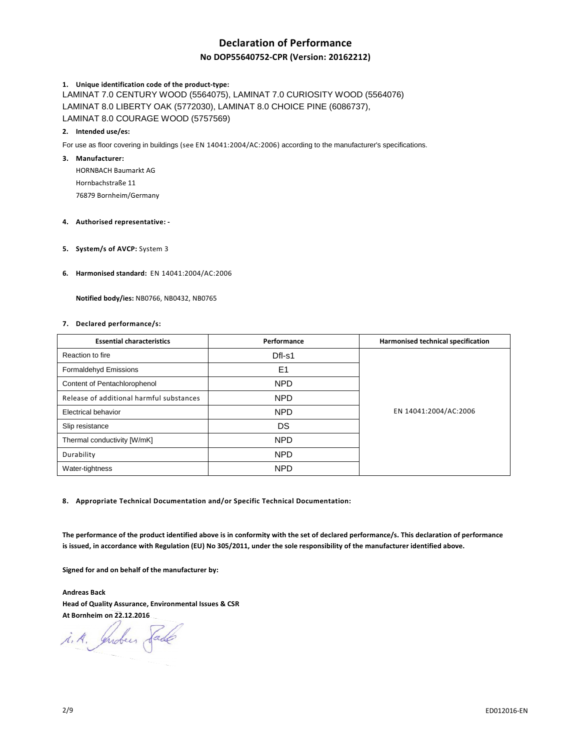# **Declaration of Performance**

# **No DOP55640752-CPR (Version: 20162212)**

### **1. Unique identification code of the product-type:**

LAMINAT 7.0 CENTURY WOOD (5564075), LAMINAT 7.0 CURIOSITY WOOD (5564076) LAMINAT 8.0 LIBERTY OAK (5772030), LAMINAT 8.0 CHOICE PINE (6086737), LAMINAT 8.0 COURAGE WOOD (5757569)

### **2. Intended use/es:**

For use as floor covering in buildings (see EN 14041:2004/AC:2006) according to the manufacturer's specifications.

### **3. Manufacturer:**

HORNBACH Baumarkt AG Hornbachstraße 11 76879 Bornheim/Germany

### **4. Authorised representative: -**

**5. System/s of AVCP:** System 3

### **6. Harmonised standard:** EN 14041:2004/AC:2006

 **Notified body/ies:** NB0766, NB0432, NB0765

### **7. Declared performance/s:**

| <b>Essential characteristics</b>         | Performance    | Harmonised technical specification |
|------------------------------------------|----------------|------------------------------------|
| Reaction to fire                         | Dfl-s1         |                                    |
| Formaldehyd Emissions                    | E <sub>1</sub> |                                    |
| Content of Pentachlorophenol             | <b>NPD</b>     | EN 14041:2004/AC:2006              |
| Release of additional harmful substances | <b>NPD</b>     |                                    |
| <b>Electrical behavior</b>               | <b>NPD</b>     |                                    |
| Slip resistance                          | DS             |                                    |
| Thermal conductivity [W/mK]              | <b>NPD</b>     |                                    |
| Durability                               | <b>NPD</b>     |                                    |
| Water-tightness                          | <b>NPD</b>     |                                    |

**8. Appropriate Technical Documentation and/or Specific Technical Documentation:** 

**The performance of the product identified above is in conformity with the set of declared performance/s. This declaration of performance is issued, in accordance with Regulation (EU) No 305/2011, under the sole responsibility of the manufacturer identified above.** 

**Signed for and on behalf of the manufacturer by:** 

**Andreas Back Head of Quality Assurance, Environmental Issues & CSR At Bornheim on 22.12.2016** 

i. A. Indees Sade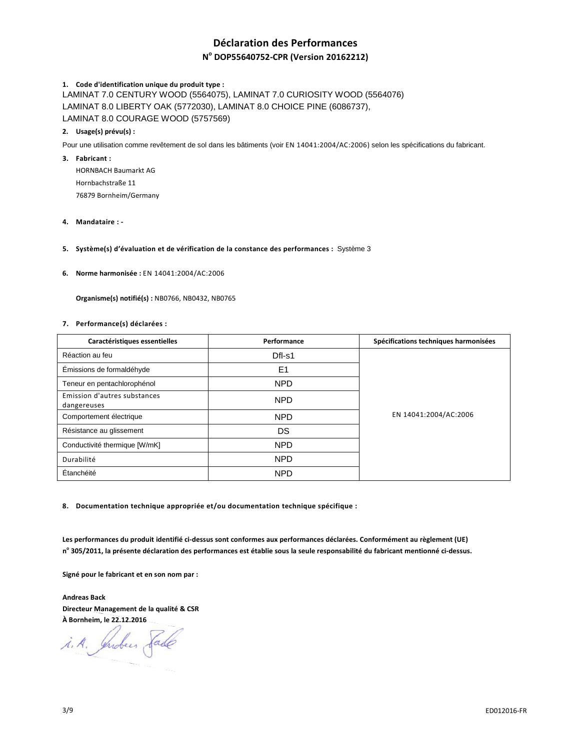# **Déclaration des Performances**

# **N o DOP55640752-CPR (Version 20162212)**

## **1. Code d'identification unique du produit type :**

LAMINAT 7.0 CENTURY WOOD (5564075), LAMINAT 7.0 CURIOSITY WOOD (5564076) LAMINAT 8.0 LIBERTY OAK (5772030), LAMINAT 8.0 CHOICE PINE (6086737), LAMINAT 8.0 COURAGE WOOD (5757569)

## **2. Usage(s) prévu(s) :**

Pour une utilisation comme revêtement de sol dans les bâtiments (voir EN 14041:2004/AC:2006) selon les spécifications du fabricant.

### **3. Fabricant :**

HORNBACH Baumarkt AG Hornbachstraße 11 76879 Bornheim/Germany

### **4. Mandataire : -**

**5. Système(s) d'évaluation et de vérification de la constance des performances :** Système 3

### **6. Norme harmonisée :** EN 14041:2004/AC:2006

 **Organisme(s) notifié(s) :** NB0766, NB0432, NB0765

### **7. Performance(s) déclarées :**

| Caractéristiques essentielles               | Performance | Spécifications techniques harmonisées |
|---------------------------------------------|-------------|---------------------------------------|
| Réaction au feu                             | Dfl-s1      | EN 14041:2004/AC:2006                 |
| Émissions de formaldéhyde                   | E1          |                                       |
| Teneur en pentachlorophénol                 | <b>NPD</b>  |                                       |
| Emission d'autres substances<br>dangereuses | <b>NPD</b>  |                                       |
| Comportement électrique                     | <b>NPD</b>  |                                       |
| Résistance au glissement                    | DS          |                                       |
| Conductivité thermique [W/mK]               | <b>NPD</b>  |                                       |
| Durabilité                                  | <b>NPD</b>  |                                       |
| Étanchéité                                  | <b>NPD</b>  |                                       |

**8. Documentation technique appropriée et/ou documentation technique spécifique :** 

**Les performances du produit identifié ci-dessus sont conformes aux performances déclarées. Conformément au règlement (UE) n o 305/2011, la présente déclaration des performances est établie sous la seule responsabilité du fabricant mentionné ci-dessus.** 

**Signé pour le fabricant et en son nom par :** 

**Andreas Back Directeur Management de la qualité & CSR À Bornheim, le 22.12.2016** 

i.A. Indees Sade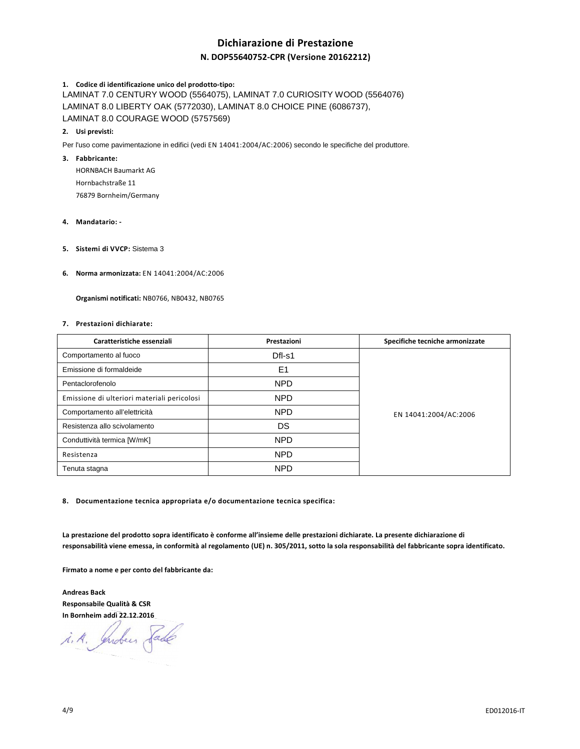# **Dichiarazione di Prestazione**

# **N. DOP55640752-CPR (Versione 20162212)**

### **1. Codice di identificazione unico del prodotto-tipo:**

LAMINAT 7.0 CENTURY WOOD (5564075), LAMINAT 7.0 CURIOSITY WOOD (5564076) LAMINAT 8.0 LIBERTY OAK (5772030), LAMINAT 8.0 CHOICE PINE (6086737), LAMINAT 8.0 COURAGE WOOD (5757569)

### **2. Usi previsti:**

Per l'uso come pavimentazione in edifici (vedi EN 14041:2004/AC:2006) secondo le specifiche del produttore.

### **3. Fabbricante:**

HORNBACH Baumarkt AG Hornbachstraße 11 76879 Bornheim/Germany

#### **4. Mandatario: -**

- **5. Sistemi di VVCP:** Sistema 3
- **6. Norma armonizzata:** EN 14041:2004/AC:2006

 **Organismi notificati:** NB0766, NB0432, NB0765

### **7. Prestazioni dichiarate:**

| Caratteristiche essenziali                  | Prestazioni    | Specifiche tecniche armonizzate |
|---------------------------------------------|----------------|---------------------------------|
| Comportamento al fuoco                      | $DfI-S1$       | EN 14041:2004/AC:2006           |
| Emissione di formaldeide                    | E <sub>1</sub> |                                 |
| Pentaclorofenolo                            | <b>NPD</b>     |                                 |
| Emissione di ulteriori materiali pericolosi | NPD            |                                 |
| Comportamento all'elettricità               | <b>NPD</b>     |                                 |
| Resistenza allo scivolamento                | DS             |                                 |
| Conduttività termica [W/mK]                 | <b>NPD</b>     |                                 |
| Resistenza                                  | <b>NPD</b>     |                                 |
| Tenuta stagna                               | <b>NPD</b>     |                                 |

**8. Documentazione tecnica appropriata e/o documentazione tecnica specifica:** 

**La prestazione del prodotto sopra identificato è conforme all'insieme delle prestazioni dichiarate. La presente dichiarazione di responsabilità viene emessa, in conformità al regolamento (UE) n. 305/2011, sotto la sola responsabilità del fabbricante sopra identificato.** 

**Firmato a nome e per conto del fabbricante da:** 

**Andreas Back Responsabile Qualità & CSR In Bornheim addì 22.12.2016**

i. A. Indees Sade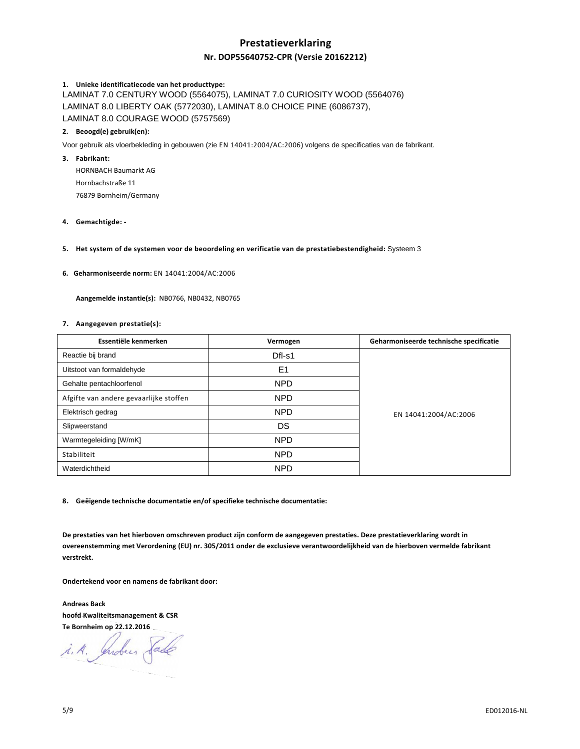# **Prestatieverklaring Nr. DOP55640752-CPR (Versie 20162212)**

# **1. Unieke identificatiecode van het producttype:**

LAMINAT 7.0 CENTURY WOOD (5564075), LAMINAT 7.0 CURIOSITY WOOD (5564076) LAMINAT 8.0 LIBERTY OAK (5772030), LAMINAT 8.0 CHOICE PINE (6086737), LAMINAT 8.0 COURAGE WOOD (5757569)

# **2. Beoogd(e) gebruik(en):**

Voor gebruik als vloerbekleding in gebouwen (zie EN 14041:2004/AC:2006) volgens de specificaties van de fabrikant.

**3. Fabrikant:** 

HORNBACH Baumarkt AG Hornbachstraße 11 76879 Bornheim/Germany

- **4. Gemachtigde:**
- **5. Het system of de systemen voor de beoordeling en verificatie van de prestatiebestendigheid:** Systeem 3

### **6. Geharmoniseerde norm:** EN 14041:2004/AC:2006

 **Aangemelde instantie(s):** NB0766, NB0432, NB0765

### **7. Aangegeven prestatie(s):**

| Essentiële kenmerken                   | Vermogen       | Geharmoniseerde technische specificatie |
|----------------------------------------|----------------|-----------------------------------------|
| Reactie bij brand                      | Dfl-s1         | EN 14041:2004/AC:2006                   |
| Uitstoot van formaldehyde              | E <sub>1</sub> |                                         |
| Gehalte pentachloorfenol               | <b>NPD</b>     |                                         |
| Afgifte van andere gevaarlijke stoffen | <b>NPD</b>     |                                         |
| Elektrisch gedrag                      | <b>NPD</b>     |                                         |
| Slipweerstand                          | DS             |                                         |
| Warmtegeleiding [W/mK]                 | <b>NPD</b>     |                                         |
| Stabiliteit                            | <b>NPD</b>     |                                         |
| Waterdichtheid                         | <b>NPD</b>     |                                         |

**8. Geëigende technische documentatie en/of specifieke technische documentatie:** 

**De prestaties van het hierboven omschreven product zijn conform de aangegeven prestaties. Deze prestatieverklaring wordt in overeenstemming met Verordening (EU) nr. 305/2011 onder de exclusieve verantwoordelijkheid van de hierboven vermelde fabrikant verstrekt.** 

**Ondertekend voor en namens de fabrikant door:** 

**Andreas Back hoofd Kwaliteitsmanagement & CSR Te Bornheim op 22.12.2016** 

i.A. Indees Sade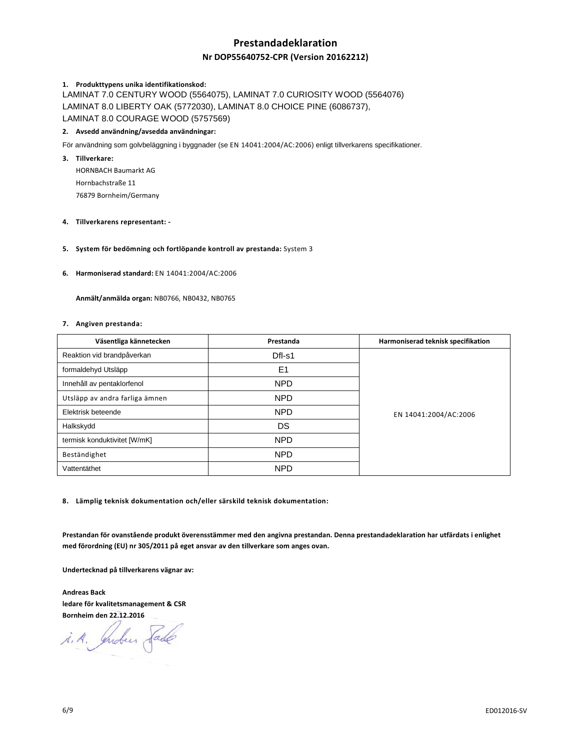# **Prestandadeklaration**

# **Nr DOP55640752-CPR (Version 20162212)**

# **1. Produkttypens unika identifikationskod:**

LAMINAT 7.0 CENTURY WOOD (5564075), LAMINAT 7.0 CURIOSITY WOOD (5564076) LAMINAT 8.0 LIBERTY OAK (5772030), LAMINAT 8.0 CHOICE PINE (6086737), LAMINAT 8.0 COURAGE WOOD (5757569)

# **2. Avsedd användning/avsedda användningar:**

För användning som golvbeläggning i byggnader (se EN 14041:2004/AC:2006) enligt tillverkarens specifikationer.

**3. Tillverkare:** 

HORNBACH Baumarkt AG Hornbachstraße 11 76879 Bornheim/Germany

### **4. Tillverkarens representant: -**

### **5. System för bedömning och fortlöpande kontroll av prestanda:** System 3

### **6. Harmoniserad standard:** EN 14041:2004/AC:2006

 **Anmält/anmälda organ:** NB0766, NB0432, NB0765

### **7. Angiven prestanda:**

| Väsentliga kännetecken         | Prestanda      | Harmoniserad teknisk specifikation |
|--------------------------------|----------------|------------------------------------|
| Reaktion vid brandpåverkan     | Dfl-s1         | EN 14041:2004/AC:2006              |
| formaldehyd Utsläpp            | E <sub>1</sub> |                                    |
| Innehåll av pentaklorfenol     | <b>NPD</b>     |                                    |
| Utsläpp av andra farliga ämnen | <b>NPD</b>     |                                    |
| Elektrisk beteende             | <b>NPD</b>     |                                    |
| Halkskydd                      | DS             |                                    |
| termisk konduktivitet [W/mK]   | <b>NPD</b>     |                                    |
| Beständighet                   | <b>NPD</b>     |                                    |
| Vattentäthet                   | <b>NPD</b>     |                                    |

**8. Lämplig teknisk dokumentation och/eller särskild teknisk dokumentation:** 

**Prestandan för ovanstående produkt överensstämmer med den angivna prestandan. Denna prestandadeklaration har utfärdats i enlighet med förordning (EU) nr 305/2011 på eget ansvar av den tillverkare som anges ovan.** 

**Undertecknad på tillverkarens vägnar av:** 

**Andreas Back ledare för kvalitetsmanagement & CSR Bornheim den 22.12.2016** 

i.A. Indus Sade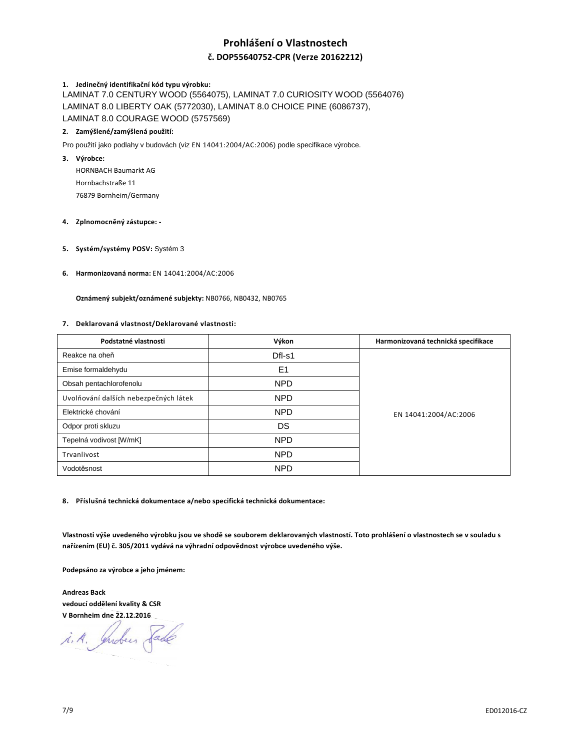# **Prohlášení o Vlastnostech**

# **č. DOP55640752-CPR (Verze 20162212)**

# **1. Jedinečný identifikační kód typu výrobku:**

LAMINAT 7.0 CENTURY WOOD (5564075), LAMINAT 7.0 CURIOSITY WOOD (5564076) LAMINAT 8.0 LIBERTY OAK (5772030), LAMINAT 8.0 CHOICE PINE (6086737), LAMINAT 8.0 COURAGE WOOD (5757569)

## **2. Zamýšlené/zamýšlená použití:**

Pro použití jako podlahy v budovách (viz EN 14041:2004/AC:2006) podle specifikace výrobce.

## **3. Výrobce:**

HORNBACH Baumarkt AG Hornbachstraße 11 76879 Bornheim/Germany

# **4. Zplnomocněný zástupce: -**

**5. Systém/systémy POSV:** Systém 3

### **6. Harmonizovaná norma:** EN 14041:2004/AC:2006

 **Oznámený subjekt/oznámené subjekty:** NB0766, NB0432, NB0765

### **7. Deklarovaná vlastnost/Deklarované vlastnosti:**

| Podstatné vlastnosti                  | Výkon          | Harmonizovaná technická specifikace |
|---------------------------------------|----------------|-------------------------------------|
| Reakce na oheň                        | Dfl-s1         | EN 14041:2004/AC:2006               |
| Emise formaldehydu                    | E <sub>1</sub> |                                     |
| Obsah pentachlorofenolu               | <b>NPD</b>     |                                     |
| Uvolňování dalších nebezpečných látek | NPD            |                                     |
| Elektrické chování                    | <b>NPD</b>     |                                     |
| Odpor proti skluzu                    | DS             |                                     |
| Tepelná vodivost [W/mK]               | <b>NPD</b>     |                                     |
| Trvanlivost                           | <b>NPD</b>     |                                     |
| Vodotěsnost                           | <b>NPD</b>     |                                     |

### **8. Příslušná technická dokumentace a/nebo specifická technická dokumentace:**

**Vlastnosti výše uvedeného výrobku jsou ve shodě se souborem deklarovaných vlastností. Toto prohlášení o vlastnostech se v souladu s nařízením (EU) č. 305/2011 vydává na výhradní odpovědnost výrobce uvedeného výše.** 

**Podepsáno za výrobce a jeho jménem:** 

**Andreas Back vedoucí oddělení kvality & CSR V Bornheim dne 22.12.2016** 

i. A. Indees Sade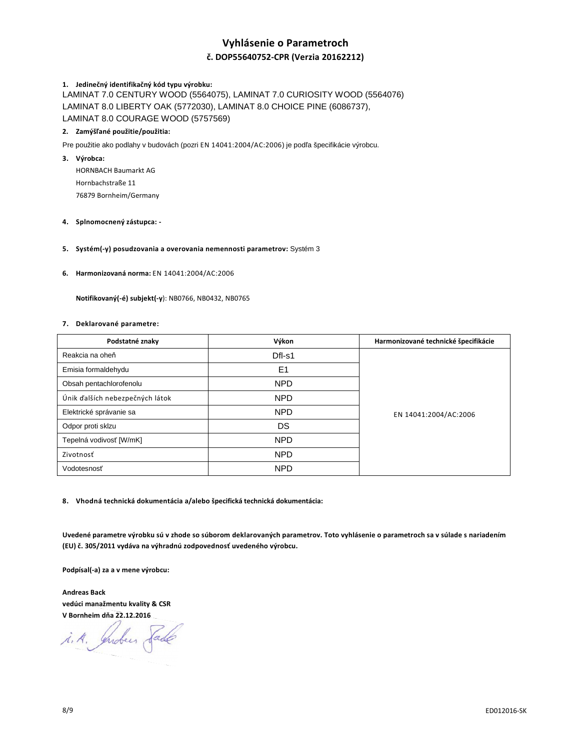# **Vyhlásenie o Parametroch č. DOP55640752-CPR (Verzia 20162212)**

# **1. Jedinečný identifikačný kód typu výrobku:**

LAMINAT 7.0 CENTURY WOOD (5564075), LAMINAT 7.0 CURIOSITY WOOD (5564076) LAMINAT 8.0 LIBERTY OAK (5772030), LAMINAT 8.0 CHOICE PINE (6086737), LAMINAT 8.0 COURAGE WOOD (5757569)

## **2. Zamýšľané použitie/použitia:**

Pre použitie ako podlahy v budovách (pozri EN 14041:2004/AC:2006) je podľa špecifikácie výrobcu.

**3. Výrobca:** 

HORNBACH Baumarkt AG Hornbachstraße 11 76879 Bornheim/Germany

# **4. Splnomocnený zástupca: -**

### **5. Systém(-y) posudzovania a overovania nemennosti parametrov:** Systém 3

### **6. Harmonizovaná norma:** EN 14041:2004/AC:2006

 **Notifikovaný(-é) subjekt(-y**): NB0766, NB0432, NB0765

### **7. Deklarované parametre:**

| Podstatné znaky                 | Výkon          | Harmonizované technické špecifikácie |
|---------------------------------|----------------|--------------------------------------|
| Reakcia na oheň                 | Dfl-s1         | EN 14041:2004/AC:2006                |
| Emisia formaldehydu             | E <sub>1</sub> |                                      |
| Obsah pentachlorofenolu         | <b>NPD</b>     |                                      |
| Únik ďalších nebezpečných látok | <b>NPD</b>     |                                      |
| Elektrické správanie sa         | <b>NPD</b>     |                                      |
| Odpor proti sklzu               | DS             |                                      |
| Tepelná vodivosť [W/mK]         | <b>NPD</b>     |                                      |
| Zivotnosť                       | <b>NPD</b>     |                                      |
| Vodotesnosť                     | <b>NPD</b>     |                                      |

**8. Vhodná technická dokumentácia a/alebo špecifická technická dokumentácia:** 

**Uvedené parametre výrobku sú v zhode so súborom deklarovaných parametrov. Toto vyhlásenie o parametroch sa v súlade s nariadením (EU) č. 305/2011 vydáva na výhradnú zodpovednosť uvedeného výrobcu.** 

**Podpísal(-a) za a v mene výrobcu:** 

**Andreas Back vedúci manažmentu kvality & CSR V Bornheim dňa 22.12.2016** 

i. A. Indees Sade